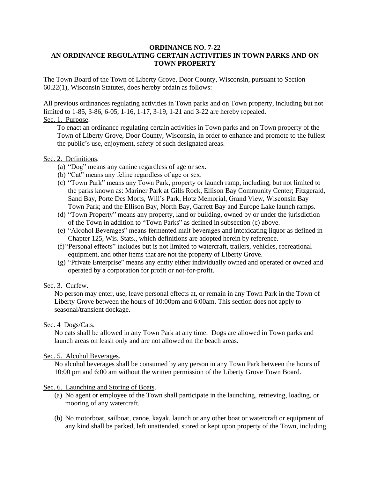### **ORDINANCE NO. 7-22 AN ORDINANCE REGULATING CERTAIN ACTIVITIES IN TOWN PARKS AND ON TOWN PROPERTY**

The Town Board of the Town of Liberty Grove, Door County, Wisconsin, pursuant to Section 60.22(1), Wisconsin Statutes, does hereby ordain as follows:

All previous ordinances regulating activities in Town parks and on Town property, including but not limited to 1-85, 3-86, 6-05, 1-16, 1-17, 3-19, 1-21 and 3-22 are hereby repealed.

# Sec. 1. Purpose.

To enact an ordinance regulating certain activities in Town parks and on Town property of the Town of Liberty Grove, Door County, Wisconsin, in order to enhance and promote to the fullest the public's use, enjoyment, safety of such designated areas.

### Sec. 2. Definitions.

- (a) "Dog" means any canine regardless of age or sex.
- (b) "Cat" means any feline regardless of age or sex.
- (c) "Town Park" means any Town Park, property or launch ramp, including, but not limited to the parks known as: Mariner Park at Gills Rock, Ellison Bay Community Center; Fitzgerald, Sand Bay, Porte Des Morts, Will's Park, Hotz Memorial, Grand View, Wisconsin Bay Town Park; and the Ellison Bay, North Bay, Garrett Bay and Europe Lake launch ramps.
- (d) "Town Property" means any property, land or building, owned by or under the jurisdiction of the Town in addition to "Town Parks" as defined in subsection (c) above.
- (e) "Alcohol Beverages" means fermented malt beverages and intoxicating liquor as defined in Chapter 125, Wis. Stats., which definitions are adopted herein by reference.
- (f)"Personal effects" includes but is not limited to watercraft, trailers, vehicles, recreational equipment, and other items that are not the property of Liberty Grove.
- (g) "Private Enterprise" means any entity either individually owned and operated or owned and operated by a corporation for profit or not-for-profit.

# Sec. 3. Curfew.

No person may enter, use, leave personal effects at, or remain in any Town Park in the Town of Liberty Grove between the hours of 10:00pm and 6:00am. This section does not apply to seasonal/transient dockage.

#### Sec. 4 Dogs/Cats.

No cats shall be allowed in any Town Park at any time. Dogs are allowed in Town parks and launch areas on leash only and are not allowed on the beach areas.

### Sec. 5. Alcohol Beverages.

No alcohol beverages shall be consumed by any person in any Town Park between the hours of 10:00 pm and 6:00 am without the written permission of the Liberty Grove Town Board.

# Sec. 6. Launching and Storing of Boats.

- (a) No agent or employee of the Town shall participate in the launching, retrieving, loading, or mooring of any watercraft.
- (b) No motorboat, sailboat, canoe, kayak, launch or any other boat or watercraft or equipment of any kind shall be parked, left unattended, stored or kept upon property of the Town, including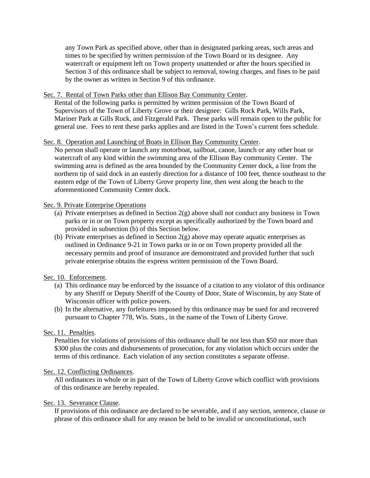any Town Park as specified above, other than in designated parking areas, such areas and times to be specified by written permission of the Town Board or its designee. Any watercraft or equipment left on Town property unattended or after the hours specified in Section 3 of this ordinance shall be subject to removal, towing charges, and fines to be paid by the owner as written in Section 9 of this ordinance.

### Sec. 7. Rental of Town Parks other than Ellison Bay Community Center.

Rental of the following parks is permitted by written permission of the Town Board of Supervisors of the Town of Liberty Grove or their designee: Gills Rock Park, Wills Park, Mariner Park at Gills Rock, and Fitzgerald Park. These parks will remain open to the public for general use. Fees to rent these parks applies and are listed in the Town's current fees schedule.

### Sec. 8. Operation and Launching of Boats in Ellison Bay Community Center.

No person shall operate or launch any motorboat, sailboat, canoe, launch or any other boat or watercraft of any kind within the swimming area of the Ellison Bay community Center. The swimming area is defined as the area bounded by the Community Center dock, a line from the northern tip of said dock in an easterly direction for a distance of 100 feet, thence southeast to the eastern edge of the Town of Liberty Grove property line, then west along the beach to the aforementioned Community Center dock.

### Sec. 9. Private Enterprise Operations

- (a) Private enterprises as defined in Section  $2(g)$  above shall not conduct any business in Town parks or in or on Town property except as specifically authorized by the Town board and provided in subsection (b) of this Section below.
- (b) Private enterprises as defined in Section 2(g) above may operate aquatic enterprises as outlined in Ordinance 9-21 in Town parks or in or on Town property provided all the necessary permits and proof of insurance are demonstrated and provided further that such private enterprise obtains the express written permission of the Town Board.

#### Sec. 10. Enforcement.

- (a) This ordinance may be enforced by the issuance of a citation to any violator of this ordinance by any Sheriff or Deputy Sheriff of the County of Door, State of Wisconsin, by any State of Wisconsin officer with police powers.
- (b) In the alternative, any forfeitures imposed by this ordinance may be sued for and recovered pursuant to Chapter 778, Wis. Stats., in the name of the Town of Liberty Grove.

# Sec. 11. Penalties.

Penalties for violations of provisions of this ordinance shall be not less than \$50 nor more than \$300 plus the costs and disbursements of prosecution, for any violation which occurs under the terms of this ordinance. Each violation of any section constitutes a separate offense.

#### Sec. 12. Conflicting Ordinances.

All ordinances in whole or in part of the Town of Liberty Grove which conflict with provisions of this ordinance are hereby repealed.

#### Sec. 13. Severance Clause.

If provisions of this ordinance are declared to be severable, and if any section, sentence, clause or phrase of this ordinance shall for any reason be held to be invalid or unconstitutional, such